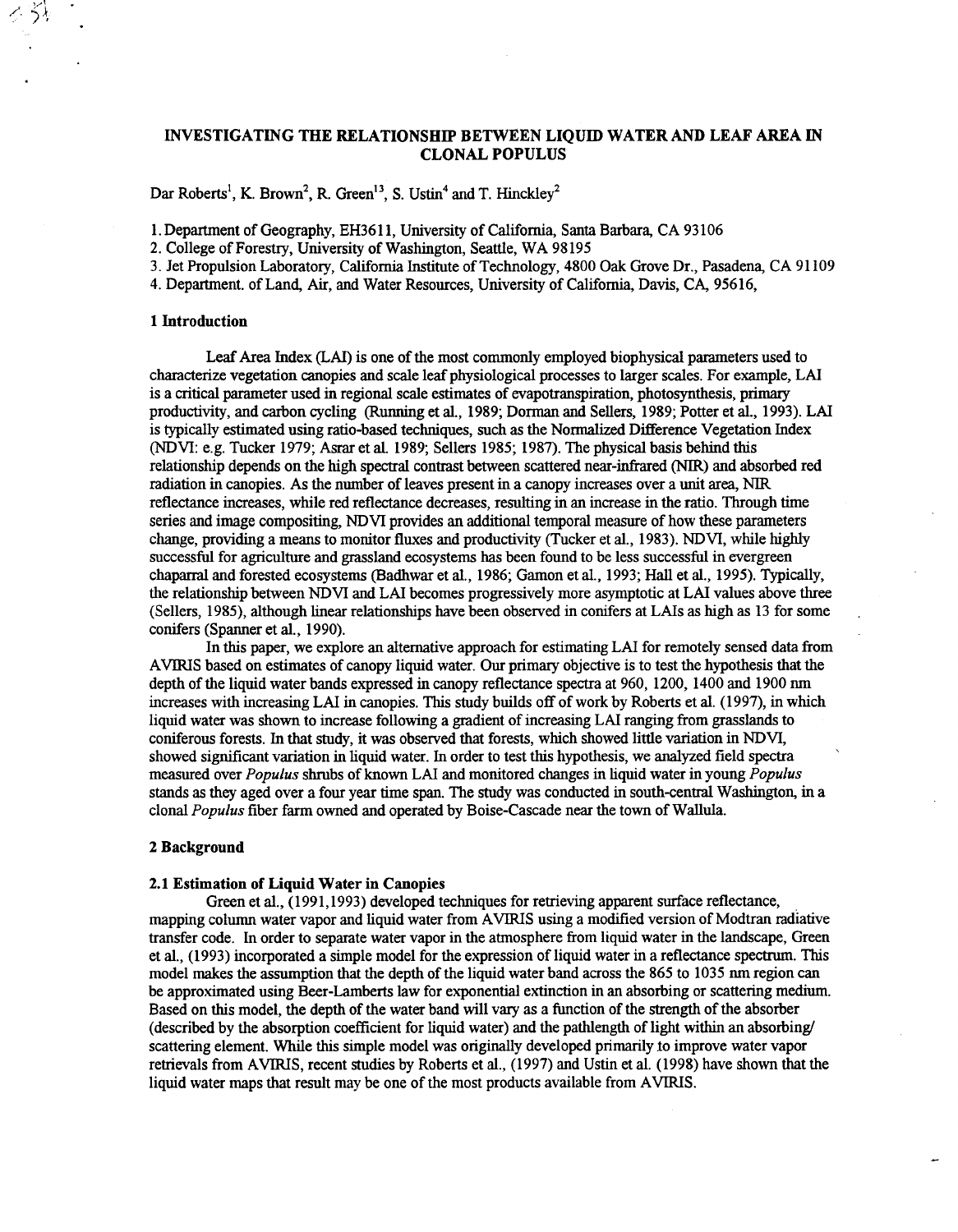#### INVESTIGATING THE RELATIONSHIP BETWEEN LIQUID WATER **AND** LEAF AREA IN CLONAL POPULUS

Dar Roberts<sup>1</sup>, K. Brown<sup>2</sup>, R. Green<sup>13</sup>, S. Ustin<sup>4</sup> and T. Hinckley<sup>2</sup>

1. Department of Geography, EH3611, University of California, Santa Barbara, CA 93 106

**2.** College of Forestry, University of Washington, Seattle, WA 98195

3. Jet Propulsion Laboratory, California Institute of Technology, 4800 *Oak* Grove Dr., Pasadena, CA 91 109

4. Department. of Land, *Air,* and Water Resources, University of California, Davis, CA, 95616,

#### **1** Introduction

Leaf Area Index (LAI) is one of the most commonly employed biophysical parameters used to characterize vegetation canopies and scale leaf physiological processes to larger scales. For example, LAI is a critical parameter used in regional scale estimates of evapotranspiration, photosynthesis, primary productivity, and carbon cycling **(Running** et al., 1989; Dorman **and** Sellers, 1989; Potter et al., 1993). LAI is typically estimated using ratio-based techniques, such as the Normalized Difference Vegetation Index (NDVI: e.g. Tucker 1979; Asrar et al. 1989; Sellers 1985; 1987). The physical basis behind this relationship depends on the high spectral contrast between scattered near-infrared (NIR) and absorbed red radiation in canopies. **As** the number of leaves present in a canopy increases over a unit area, NIR reflectance increases, while red reflectance decreases, resulting in an increase in the ratio. Through time series and image compositing, NDVI provides an additional temporal measure of how these parameters change, providing a means to monitor fluxes and productivity (Tucker et al., 1983). NDVI, while highly successful for agriculture and grassland ecosystems has been found to be less successful in evergreen chaparral and forested ecosystems (Badhwar et al., 1986; Gamon et al., 1993; Hall et al., 1995). Typically, the relationship between NDVI and LAI becomes progressively more asymptotic atLAI values above three (Sellers, 1985), although linear relationships have been observed in conifers at LAIs as high as 13 for some conifers (Spanner et al., 1990).

In this paper, we explore an alternative approach for estimating LAI for remotely sensed **data** from AVIRIS based on estimates of canopy liquid water. Our primary objective is to test the hypothesis that the depth of the liquid water bands expressed in canopy reflectance spectra at 960, 1200, 1400 and 1900 nm increases with increasing LAI in canopies. This study builds off of work by Roberts et al. (1997), in which liquid water was shown to increase following a gradient of increasing LAI ranging from grasslands to coniferous forests. In that study, it was observed that forests, which showed little variation in NDVI, showed sigmficant variation in liquid water. In order to test this hypothesis, we analyzed field spectra ' measured over *Populus* shrubs of known LAI and monitored changes in liquid water in young *Populus*  stands as they aged over a four year time *span.* The study was conducted in south-central Washington, in a clonal *Populus* fiber farm owned and operated by Boise-Cascade near the town of Wallula.

#### **2** Background

#### **2.1** Estimation **of** Liquid Water **in** Canopies

Green et al., (1991,1993) developed techniques for retrieving apparent surface reflectance, mapping column water vapor and liquid water from AVIRIS using a modified version of Modtran radiative transfer code. In order to separate water vapor in the atmosphere from liquid water in the landscape, Green et al., (1993) incorporated a simple model for the expression of liquid water in a reflectance **spectrum.** This model makes the assumption that the depth of the liquid water band across the 865 to 1035 nm region can be approximated using Beer-Lamberts law for exponential extinction in an absorbing or scattering medium. Based on this model, the depth of the water band will **vary** as a function of the *strength* of the absorber (described by the absorption coefficient for liquid water) and the pathlength of light within an absorbing scattering element. While this simple model was originally developed primarily **10** improve water vapor retrievals from AVIRIS, recent studies by Roberts et al., (1997) and Ustin et al. (1998) have shown that the liquid water maps that result may be one of the most products available from AVIRIS.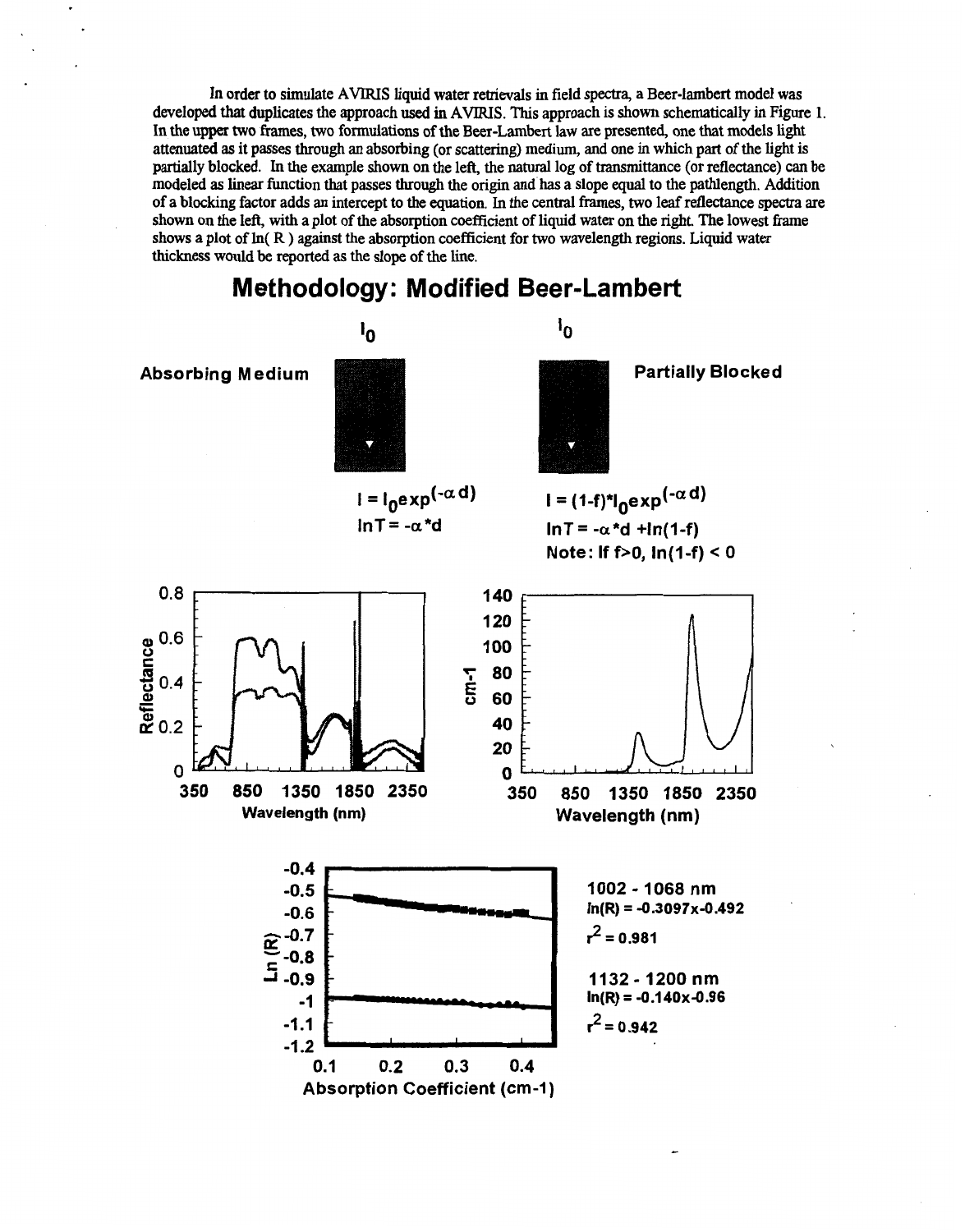In order to simulate **AVIRIS** liquid water retrievals in field **spectra,** a Beer-lambert model was developed that duplicates the approach used in **AVIRIS. This** approach **is** shown schematically in Figure 1. In the **upper** two frames, two formulations of **the** Beer-Lambert **law** are presented, one that models light attenuated as it passes **through** an absorbing (or scattering) medium, **and** one in which **part** of the light is partially blocked. In the example shown on the left, the natural log of transmittance (or reflectance) can be modeled as linear function that passes **through** the origin and has a slope equal to the pathlength. Addition of a blocking factor adds an intercept to the equation. In the central frames, two leaf reflectance spectra are shown on the left, with a plot of the absorption coefficient **of** liquid water on the right. The lowest fiame shows a plot of In( **R** ) against the absorption coefficient for two wavelength regions. Liquid water thickness would be **reported** as the **slope** of the line.



### **Methodology: Modified Beer-Lambert**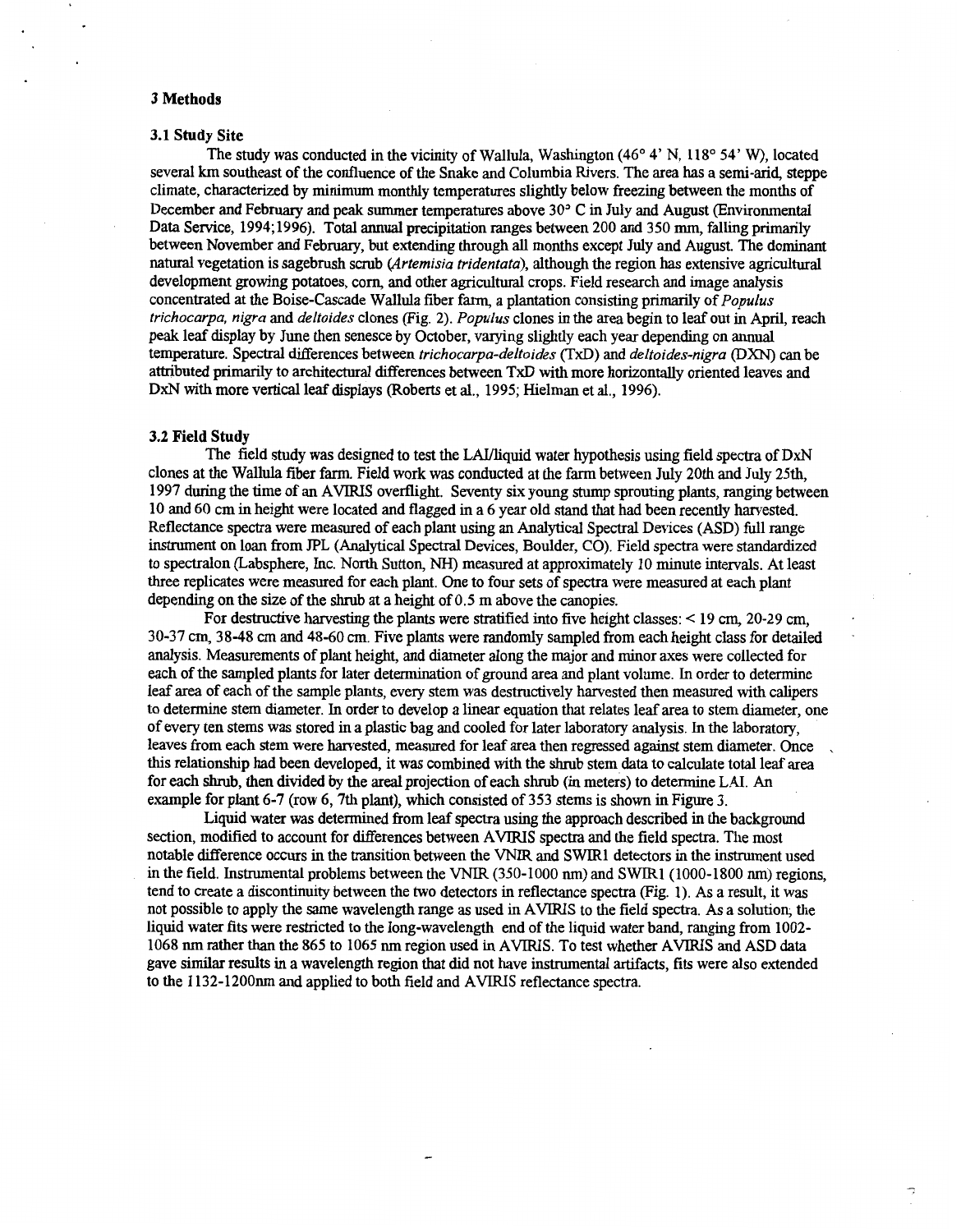#### **3 Methods**

#### **3.1 Study Site**

The study was conducted in the vicinity of Wallula, Washington (46° 4' N, 118° 54' W), located several **km** southeast of the confluence of the Snake and Columbia Rivers. The ara has a semi-arid, steppe climate, characterized by minimum monthly temperatures slightly below freezing between the months of December and February and peak summer temperatures above 30" **C** in July and August (Environmental Data Service, 1994;1996). Total annual precipitation ranges between 200 and 350 mm, falling primarily between November and February, but extending through **all** months except July and August. The dominant **natural** vegetation is sagebrush scrub *(Artemisia fridenfufa),* although the region has extensive agricultural development growing potatoes, corn, and other agricultural crops. Field research and image analysis concentrated at the Boise-Cascade Wallula fiber farm, a plantation consisting primarily of *Populus frichocurpa, nigra* and *delfoides* clones (Fig. 2). *Populus* clones in the area begin to leaf out in April, reach peak leaf display by June then senesce by October, varying slightly each year depending on annual temperature. Spectral differences between *frichocarpa-delfoides* (TxD) and *deftoides-nigra (DXN)* can be attributed primarily to architectural differences between **TxD** with more horizontally oriented leaves and DxN with more vertical leaf displays (Roberts et al., 1995; Hielman et al., 1996).

#### **3.2 Field Study**

The field *study* was designed to test the LAL/liquid water hypothesis using field spectra of DxN clones at the Wallula fiber farm. Field work was conducted athe farm between July 20th and July 25th, 1997 during the time of an AVIRIS overflight. Seventy six young stump sprouting plants, ranging between 10 and 60 *cm* in height were located and flagged in a 6 year old stand that had been recently harvested. Reflectance spectra were measured of each plant using an Analytical Spectral Devices (ASD) full range instrument on loan from JPL (Analytical Spectral Devices, Boulder, CO). Field spectra were standardized to spectralon (Labsphere, Inc. North Sutton, NH) measured at approximately 10 minute intervals. At least three replicates were measured for each plant. One to four sets of spectra were measured at each plant depending on the size of the *shrub* at **a** height of 0.5 m above the canopies.

For destructive harvesting the plants were stratified into five height classes: < 19 *cm,* 20-29 *cm,*  30-37 *cm,* 38-48 *cm* and 48-60 *cm.* Five plants were randomly sampled from each height class for detailed . analysis. Measurements of plant height, and diameter along themajor and minor axes were collected for each of the sampled plants for later determination of ground area and plant volume. In order to determine leaf area of each of the sample plants, every stem was destructively harvested then measured with calipers to determine stem diameter. In order to develop a linear equation that relates leaf area to stem diameter, one of every ten stems was stored in a plastic bag and cooled for later laboratory analysis. In the laboratory, leaves from each stem were harvested, measured for leaf area then regressed against stem diameter. Once this relationship had been developed, it was combined with the shrub stem data to calculate total leaf area for each shrub, then divided by the areal projection of each shrub (in meters) to determine LAI. An example for plant 6-7 (row 6,7th plant), which consisted of 353 stems is shown in [Figure](#page-4-0) **3.** 

section, modified to account for differences between AVIRIS spectra and the field spectra. The most notable difference occurs in the transition between the VNIR and SwlRl detectors in the instrument used in the field. Instrumental problems between the VNIR (350-1000 nm) and SWIRl (1000-1800 nm) regions, tend to create a discontinuity between the two detectors in reflectance spectra (Fig. 1). As a result, it was not possible to apply the same wavelength range as used in AVIRIS to the field spectra. As a solution; the liquid water fits were restricted to the long-wavelength end of the liquid water band, ranging from 1002- 1068 nm rather than the 865 to 1065 nm region used in AVIRIS. To test whether **AVIRIS** and ASD data gave similar results in a wavelength region that did not have instrumental artifacts, fits were also extended to the 1132-12OOnm and applied **to** both field and **AVIRIS** reflectance spectra. Liquid water was determined from leaf spectra using the approach described in the background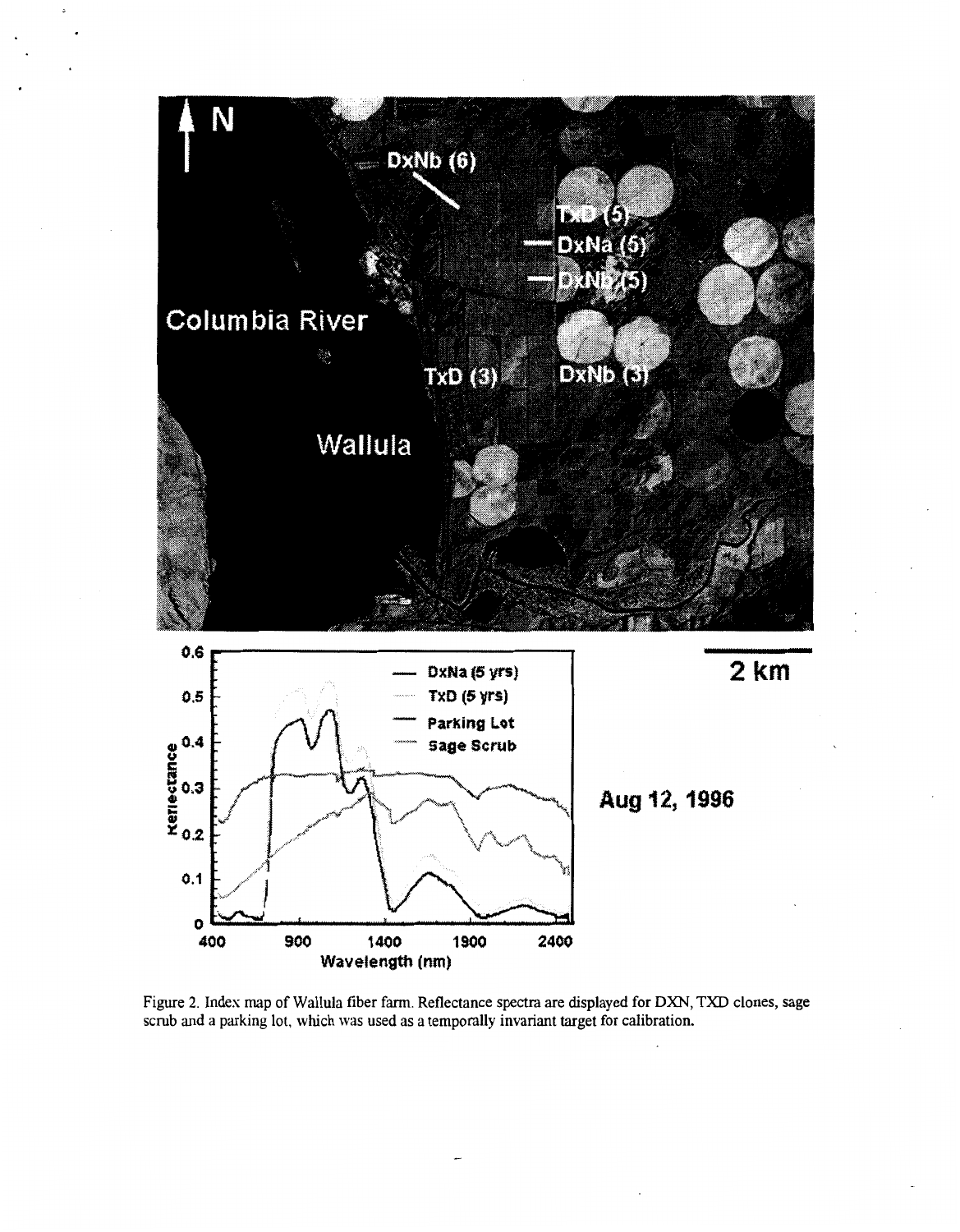

Figure **2.** Index map of Wallula fiber farm. Reflectance **spectra** are displayed for DXN, TXD clones, **sage**  scrub **and** a parking lot, which was used as a temporally invariant target for calibration.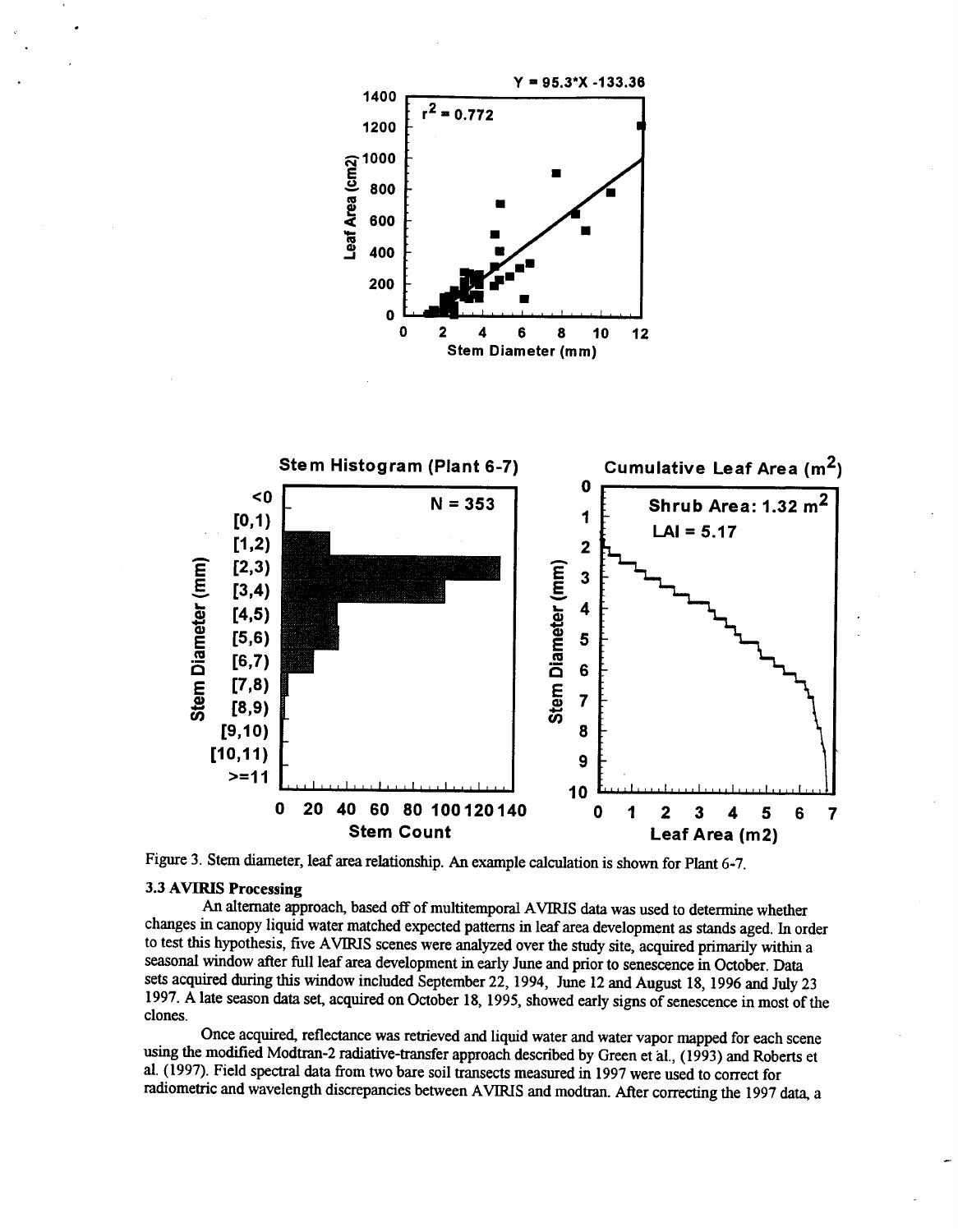<span id="page-4-0"></span>



Figure 3. Stem diameter, leaf area relationship. **An** example calculation is shown for Plant 6-7.

#### **3.3 AVIRIS Processing**

**An** alternate approach, based off of multitemporal **AVIRIS** data was used to determine whether changes in canopy liquid water matched expected patterns in leaf area development as stands aged. In order to test this hypothesis, five **AVIRIS** scenes were analyzed over the *study* site, acquired primarily within a seasonal window after full leaf area development in early June and prior to senescence in October. Data sets acquired during this window included September 22,1994, June 12 and **August** 18,1996 and July **23**  1997. **A** late season data set, acquired on October 18,1995, showed early signs of senescence in most of the clones.

Once acquired, reflectance was retrieved and liquid water and water vapor mapped for each scene using the modified Modtran-2 radiative-transfer approach described by Green et ai., (1993) and Roberts et al. (1997). Field spectral data from *two* bare soil transects measured in 1997 were used to correct for radiometric and wavelength discrepancies between **AVIRIS** and modtran. After correcting the 1997 data, a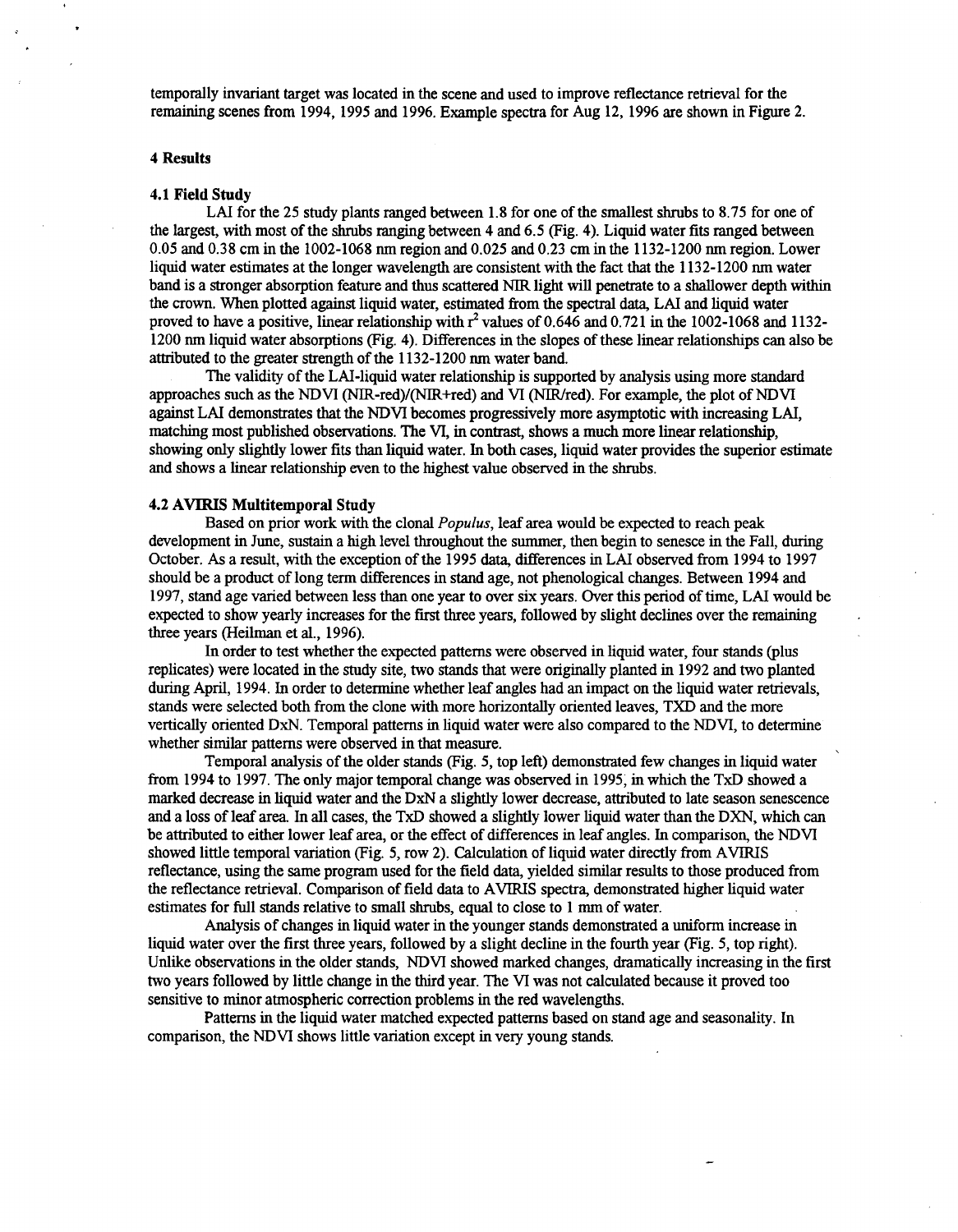temporally invariant target was located in the scene and used to improve reflectance retrieval for the remaining scenes from 1994, 1995 and 1996. Example spectra for Aug 12, 1996 are shown in Figure 2.

#### **4 Results**

#### **4.1 Field Study**

LAI for the 25 study plants ranged between 1.8 for one of the smallest shrubs to 8.75 for one of the largest, with most of the shrubs ranging between 4 and 6.5 (Fig. 4). Liquid water fits ranged between *0.05* and 0.38 cm in the 1002-1068 nm region and 0.025 and 0.23 an in the 1132-1200 nm region. Lower liquid water estimates at the longer wavelength are consistent with the fact that the 1132-1200 nm water band is a stronger absorption feature and thus scattered NIR light will penetrate to a shallower depth within the crown. When plotted against liquid water, estimated from the spectral data, LAI and liquid water proved to have a positive, linear relationship with *8* values of 0.646 and 0.721 in the 1002-1068 and 1132- 1200 nm liquid water absorptions (Fig. 4). Differences in the slopes of these linear relationships can also be attributed to the greater strength of the 1 132-1200 nm water band.

The validity of the LAI-liquid water relationship is supported by analysis using more standard approaches such as the NDVI (NIR-red)/(NIR+red) and VI (NIR/red). For example, the plot of NDVI against LAI demonstrates that the NDVI becomes progressively more asymptotic with increasing LAI, matching most published observations. The VI, in contrast, shows a much more linear relationship, showing only slightly lower fits than liquid water. In both cases, liquid water provides the superior estimate and shows a linear relationship even to the highest value observed in the shrubs.

#### **4.2 AVIRIS Multitemporal Study**

Based on prior work with the clonal *Populus,* leaf area would be expected to reach peak development in June, *sustain* a high level throughout the summer, then begin to senesce in the Fall, during October. **As** a result, with the exception of the 1995 data, differences in LAI observed from 1994 to 1997 should be a product of long term differences in *stand* age, not phenological changes. Between 1994 and 1997, stand age varied between less than one year to over six years. Over this period of time, LAI would be expected to show yearly increases for the first three years, followed by slight declines over the remaining three years (Heilman et al., 1996).

In order to test whether the expected patterns were observed in liquid water, four stands (plus replicates) were located in the study site, two stands that were origmlly planted in 1992 and two planted during April, 1994. In order to determine whether leaf angles had an impact on the liquid water retrievals, stands were selected both from the clone with more horizontally oriented leaves, TXD and the more vertically oriented DxN. Temporal patterns in liquid water were also compared to the NDVI, to determine whether similar patterns were observed in that measure.

Temporal analysis of the older stands (Fig. 5, top left) demonstmted few changes in liquid water from 1994 to 1997. The only major temporal change was observed in 1995, in which the TxD showed a marked decrease in liquid water and the DxN a slightly lower decrease, attributed to late season senescence and a loss of leaf area. In all cases, the TxD showed a slightly lower liquid water than the DXN, which can be attributed to either lower leaf area, or the effect of differences in leaf angles. In comparison, the NDVI showed little temporal variation (Fig. 5, row 2). Calculation of liquid water directly from AVIRIS reflectance, using the same program used for the field data, yielded similar results to those produced from the reflectance retrieval. Comparison of field data to AVIRIS spectra, demonstrated higher liquid water estimates for full stands relative to small shrubs, equal to close to 1 mm of water.

Analysis of changes in liquid water in the younger stands demonstrated a uniform increase in liquid water over the first three years, followed by a slight decline in the fourth year (Fig. 5, top right). Unlike observations in the older stands, NDVI showed marked changes, dramatically increasing in the first two years followed by little change in the third year. The VI was not calculated because it proved too sensitive to minor atmospheric correction problems in the red wavelengths.

Patterns in the liquid water matched expected patterns based on stand age and seasonality. In comparison, the NDVI shows little variation except in very young stands.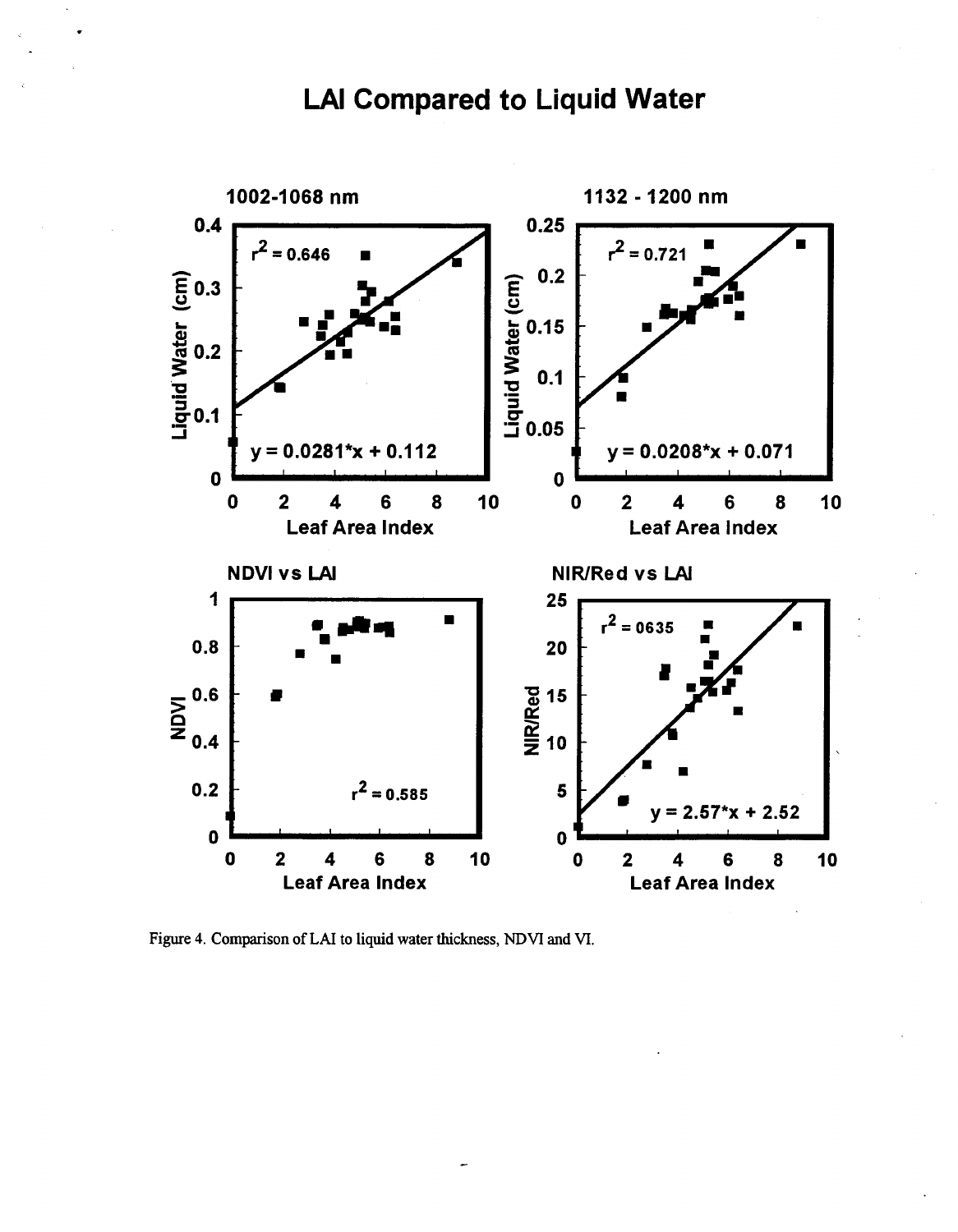# **LAI Compared to Liquid Water**



Figure 4. Comparison of LAI to liquid water thickness, NDVI and VI.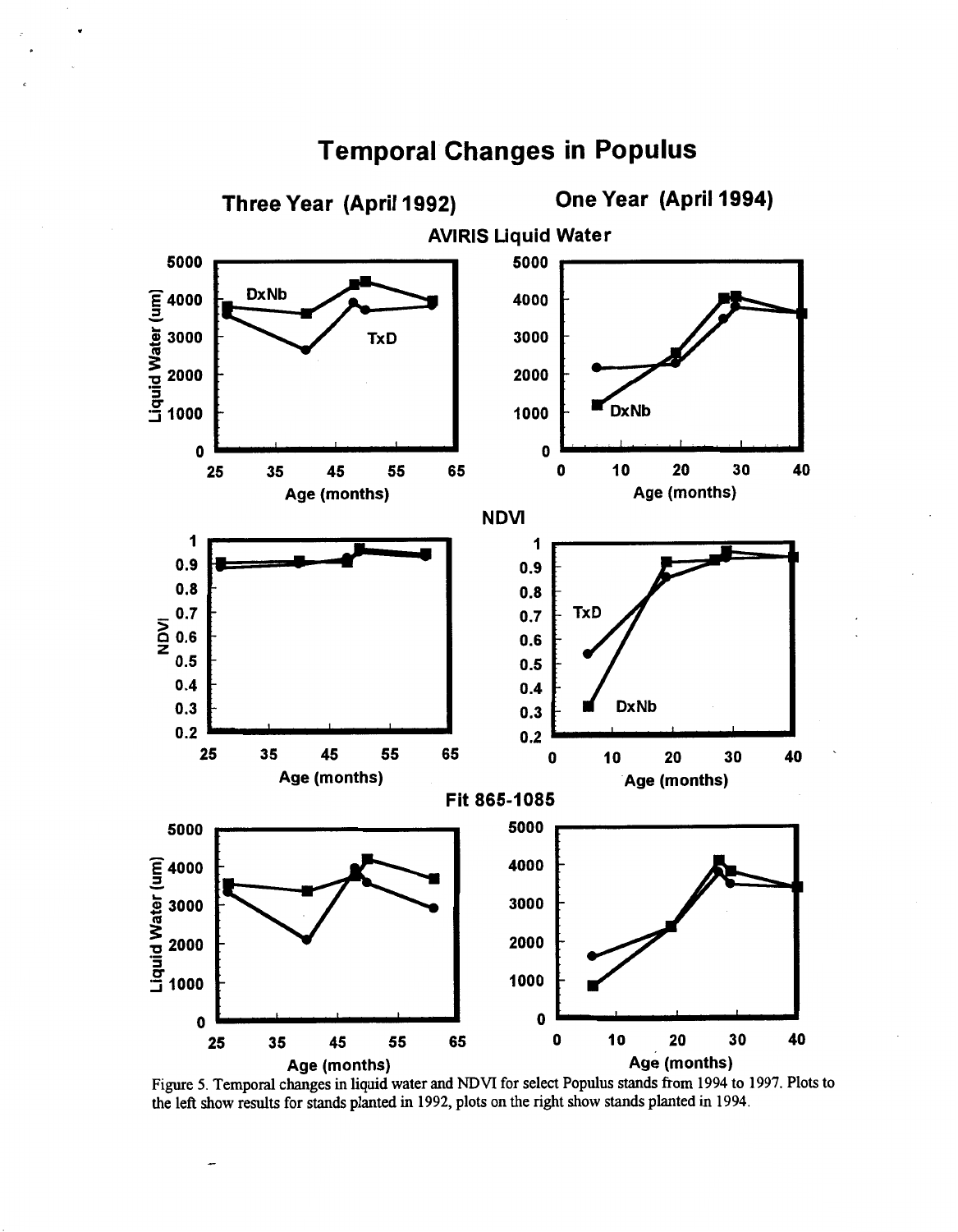

## **Temporal Changes in Populus**

Figure 5. Temporal changes in liquid water and NDVI for select Populus stands from 1994 to 1997. Plots to the left show results for stands planted in 1992, plots on the right show stands planted in 1994.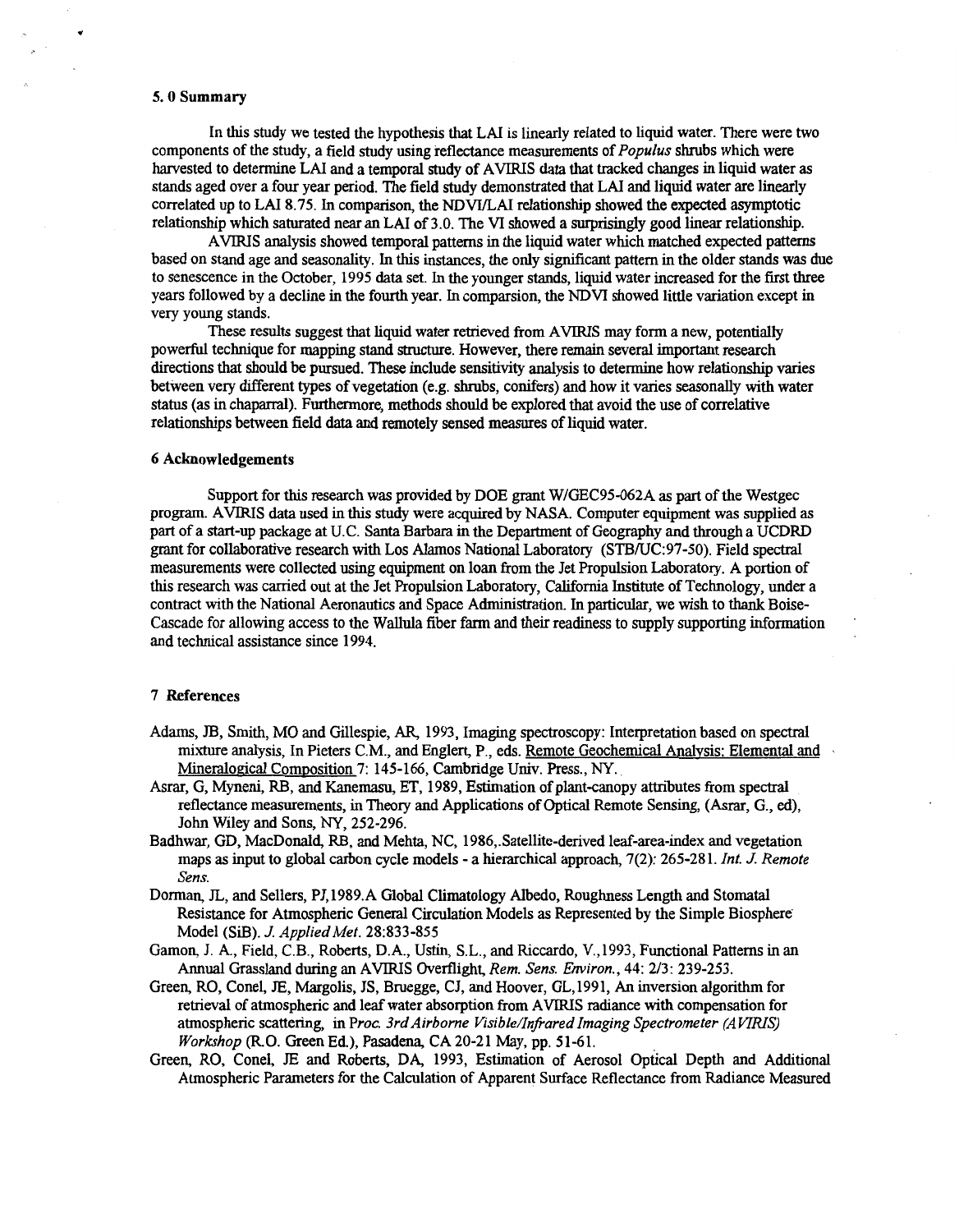#### **5.0 Summary**

In this study we tested the hypothesis that LAI **is** linearly related to liquid water. There were two components of the study, a field study using reflectance measurements of *Populus* shrubs which were harvested to determine LAI and a temporal study of AVIRIS data that tracked changes in liquid water as stands aged over a four year period. The field study demonstrated that LAI and liquid water are linearly correlated up to LAI 8.75. In comparison, the NDWLAI relationship showed the expected asymptotic relationship which saturated near anLAI **of** 3.0. The VI showed a surprisingly good linear relationship.

based on stand age and seasonality. In this instances, the only sipficant pattern in the older **stands** was due to senescence in the October, 1995 data set. In the younger stands, liquid water increased for the **first** three years followed by a decline in the fourth year. In comparsion, the **NDVI** showed little variation except in very young stands. AVIRIS analysis showed temporal patterns in the liquid water which matched expected patterns

powerful technique for mapping stand structure. However, there remain several important research directions that should be pursued. These include sensitivity analysis to determine how relationship varies between very different types of vegetation (e.g. shrubs, conifers) and how it varies seasonally with water status (as in chaparral). Furthermore, methods should be explored that avoid the use of correlative relationships between field data and remotely sensed measures of liquid water. These results suggest that liquid water retrieved from AVIRIS may form a new, potentially

#### **6 Acknowledgements**

Support for this research was provided by DOE grant WlGEC95-062A as **part** of the Westgec program. AVIRIS data used in this *study* were acquired by NASA. Computer equipment was supplied as part of a start-up package at U.C. Santa Barbara in the Department of Geography and through a UCDRD grant for collaborative research with Los Alamos National Laboratory (STB/UC:97-50). Field *spectral*  measurements were collected using equipment on loan from the Jet Propulsion Laboratory. A portion of this research was carried out at the Jet Propulsion Laboratory, California Institute of Technology, under a contract with the National Aeronautics and Space Administration. In particular, we wish to thank Boise-Cascade for allowing access to the Wallula fiber farm and their readiness to supply supporting information and technical assistance since 1994.

#### **7 References**

- Adams, **JB,** Smith, MO and Gillespie, AR, 1993, Imaging spectroscopy: Interpretation based on spectral mixture analysis, In Pieters C.M., and Englert, P., eds. Remote Geochemical Analysis: Elemental and Mineralogical Composition 7: 145-166, Cambridge Univ. Press., *NY.*
- reflectance measurements, in Theory and Applications of Optical Remote Sensing, (Asrar, G., *ed),*  John Wiley **and Sons,** *NY,* 252-296. Asrar, G, Myneni, RB, **and** Kanemasu, ET, 1989, Estimation of plant-canopy attributes from spectral
- Badhwar, GD, MacDonald, RB, **and** Mehta, NC, 1986,.Satellite-derived leaf-area-index **and** vegetation maps as input to global carbon cycle models - a hierarchical approach, 7(2): 265-281. *Int. J. Remote Sens.*
- Resistance for Atmospheric General Circulation Models as Represented by the Simple Biosphere Model (SiB). *J. AppliedMet.* 28:833-855 Dorman, JL, and Sellers, PJ, 1989.A Global Climatology Albedo, Roughness Length and Stomatal
- Gamon, J. A., Field, C.B., Roberts, D.A., Ustin, S.L., and Riccardo, V., 1993, Functional Patterns in an Annual Grassland during an AVIRIS Overflight, *Rem. Sens. Environ.,* 44: 213: 239-253.
- Green, RO, Conel, E, Margolis, JS, Bruegge, CJ, and Hoover, GL, 1991, An inversion algorithm for retrieval of atmospheric and leaf water absorption from AVIRIS radiance with compensation for atmospheric scattering, in *Proc. 3rd Airborne Visible/Infrared Imaging Spectrometer (AVIRIS) Workshop (R.O.* Green Ed.), Pasadena, CA 20-21 May, pp. 51-61.
- Green, RO, Conel, E and Roberts, DA, 1993, Estimation of Aerosol Optical Depth and Additional Atmospheric Parameters for the Calculation of Apparent Surface Reflectance from Radiance Measured